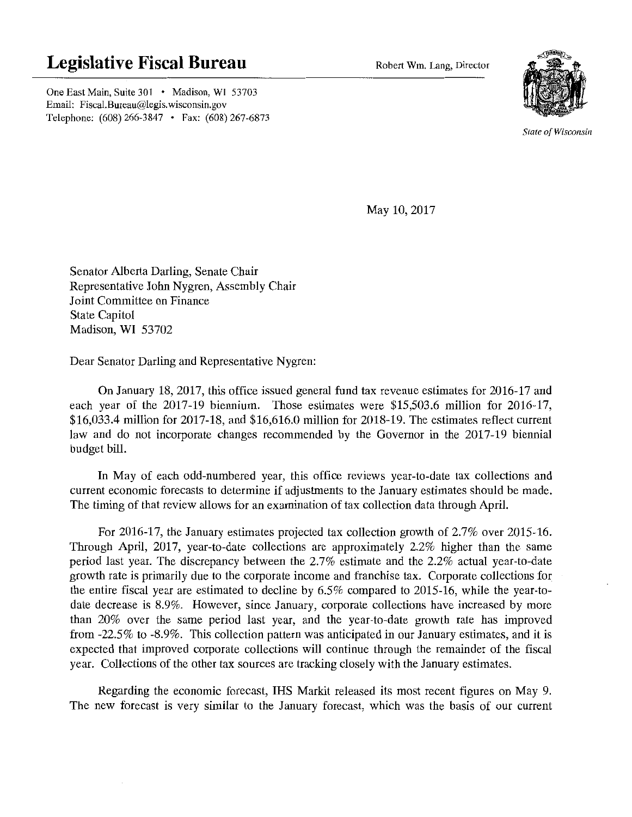## **Legislative Fiscal Bureau**

**Robert Win. Lang, Director** 

One East Main, Suite 301 • Madison, WI 53703 Email: Fiscal.Bureau@legis.wisconsin.gov Telephone: (608) 266-3847 • Fax: (608) 267-6873



**State of Wisconsin** 

May 10, 2017

Senator Alberta Darling, Senate Chair Representative John Nygren, Assembly Chair Joint Committee on Finance State Capitol Madison, WI 53702

Dear Senator Darling and Representative Nygren:

On January 18, 2017, this office issued general fund tax revenue estimates for 2016-17 and each year of the 2017-19 biennium. Those estimates were \$15,503.6 million for 2016-17, \$16,033.4 million for 2017-18, and \$16,616.0 million for 2018-19. The estimates reflect current law and do not incorporate changes recommended by the Governor in the 2017-19 biennial budget bill.

In May of each odd-numbered year, this office reviews year-to-date tax collections and current economic forecasts to determine if adjustments to the January estimates should be made. The timing of that review allows for an examination of tax collection data through April.

For 2016-17, the January estimates projected tax collection growth of 2.7% over 2015-16. Through April, 2017, year-to-date collections are approximately 2.2% higher than the same period last year. The discrepancy between the 2.7% estimate and the 2.2% actual year-to-date growth rate is primarily due to the corporate income and franchise tax. Corporate collections for the entire fiscal year are estimated to decline by 6.5% compared to 2015-16, while the year-todate decrease is 8.9%. However, since January, corporate collections have increased by more than 20% over the same period last year, and the year-to-date growth rate has improved from -22.5% to -8.9%. This collection pattern was anticipated in our January estimates, and it is expected that improved corporate collections will continue through the remainder of the fiscal year. Collections of the other tax sources are tracking closely with the January estimates.

Regarding the economic forecast, IHS Markit released its most recent figures on May 9. The new forecast is very similar to the January forecast, which was the basis of our current